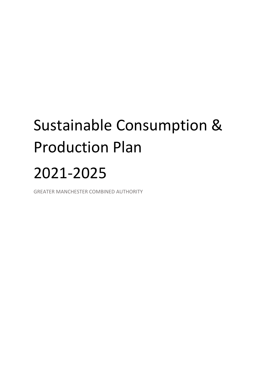# Sustainable Consumption & Production Plan 2021-2025

GREATER MANCHESTER COMBINED AUTHORITY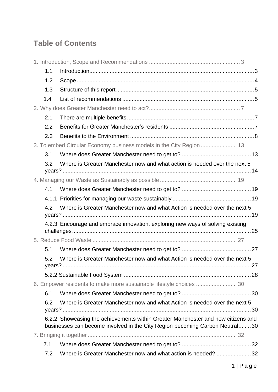# **Table of Contents**

| 1.1                                                                              |                                                                                                                                                                 |  |  |  |  |
|----------------------------------------------------------------------------------|-----------------------------------------------------------------------------------------------------------------------------------------------------------------|--|--|--|--|
| 1.2                                                                              |                                                                                                                                                                 |  |  |  |  |
| 1.3                                                                              |                                                                                                                                                                 |  |  |  |  |
| 1.4                                                                              |                                                                                                                                                                 |  |  |  |  |
|                                                                                  |                                                                                                                                                                 |  |  |  |  |
| 2.1                                                                              |                                                                                                                                                                 |  |  |  |  |
| 2.2                                                                              |                                                                                                                                                                 |  |  |  |  |
| 2.3                                                                              |                                                                                                                                                                 |  |  |  |  |
|                                                                                  | 3. To embed Circular Economy business models in the City Region  13                                                                                             |  |  |  |  |
| 3.1                                                                              |                                                                                                                                                                 |  |  |  |  |
| 3.2                                                                              | Where is Greater Manchester now and what action is needed over the next 5                                                                                       |  |  |  |  |
|                                                                                  |                                                                                                                                                                 |  |  |  |  |
| 4.1                                                                              |                                                                                                                                                                 |  |  |  |  |
|                                                                                  |                                                                                                                                                                 |  |  |  |  |
| Where is Greater Manchester now and what Action is needed over the next 5<br>4.2 |                                                                                                                                                                 |  |  |  |  |
|                                                                                  | 4.2.3 Encourage and embrace innovation, exploring new ways of solving existing                                                                                  |  |  |  |  |
|                                                                                  |                                                                                                                                                                 |  |  |  |  |
| 5.1                                                                              |                                                                                                                                                                 |  |  |  |  |
| 5.2                                                                              | Where is Greater Manchester now and what Action is needed over the next 5                                                                                       |  |  |  |  |
|                                                                                  |                                                                                                                                                                 |  |  |  |  |
|                                                                                  | 6. Empower residents to make more sustainable lifestyle choices  30                                                                                             |  |  |  |  |
| 6.1                                                                              |                                                                                                                                                                 |  |  |  |  |
| 6.2                                                                              | Where is Greater Manchester now and what Action is needed over the next 5                                                                                       |  |  |  |  |
|                                                                                  | 6.2.2 Showcasing the achievements within Greater Manchester and how citizens and<br>businesses can become involved in the City Region becoming Carbon Neutral30 |  |  |  |  |
|                                                                                  |                                                                                                                                                                 |  |  |  |  |
| 7.1                                                                              |                                                                                                                                                                 |  |  |  |  |
| 7.2                                                                              | Where is Greater Manchester now and what action is needed? 32                                                                                                   |  |  |  |  |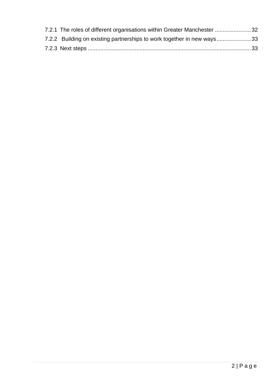| 7.2.1 The roles of different organisations within Greater Manchester 32 |  |
|-------------------------------------------------------------------------|--|
| 7.2.2 Building on existing partnerships to work together in new ways33  |  |
|                                                                         |  |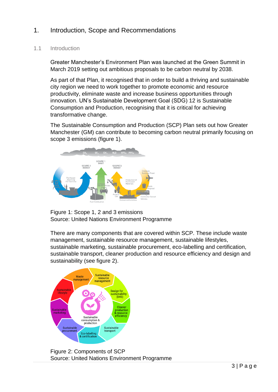# <span id="page-3-0"></span>1. Introduction, Scope and Recommendations

#### <span id="page-3-1"></span>1.1 Introduction

Greater Manchester's Environment Plan was launched at the Green Summit in March 2019 setting out ambitious proposals to be carbon neutral by 2038.

As part of that Plan, it recognised that in order to build a thriving and sustainable city region we need to work together to promote economic and resource productivity, eliminate waste and increase business opportunities through innovation. UN's Sustainable Development Goal (SDG) 12 is Sustainable Consumption and Production, recognising that it is critical for achieving transformative change.

The Sustainable Consumption and Production (SCP) Plan sets out how Greater Manchester (GM) can contribute to becoming carbon neutral primarily focusing on scope 3 emissions (figure 1).



Figure 1: Scope 1, 2 and 3 emissions Source: United Nations Environment Programme

There are many components that are covered within SCP. These include waste management, sustainable resource management, sustainable lifestyles, sustainable marketing, sustainable procurement, eco-labelling and certification, sustainable transport, cleaner production and resource efficiency and design and sustainability (see figure 2).



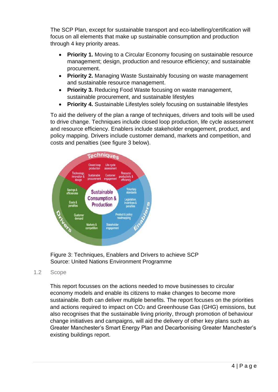The SCP Plan, except for sustainable transport and eco-labelling/certification will focus on all elements that make up sustainable consumption and production through 4 key priority areas.

- **Priority 1.** Moving to a Circular Economy focusing on sustainable resource management; design, production and resource efficiency; and sustainable procurement.
- **Priority 2.** Managing Waste Sustainably focusing on waste management and sustainable resource management.
- **Priority 3.** Reducing Food Waste focusing on waste management, sustainable procurement, and sustainable lifestyles
- **Priority 4.** Sustainable Lifestyles solely focusing on sustainable lifestyles

To aid the delivery of the plan a range of techniques, drivers and tools will be used to drive change. Techniques include closed loop production, life cycle assessment and resource efficiency. Enablers include stakeholder engagement, product, and policy mapping. Drivers include customer demand, markets and competition, and costs and penalties (see figure 3 below).



Figure 3: Techniques, Enablers and Drivers to achieve SCP Source: United Nations Environment Programme

#### <span id="page-4-0"></span>1.2 Scope

This report focusses on the actions needed to move businesses to circular economy models and enable its citizens to make changes to become more sustainable. Both can deliver multiple benefits. The report focuses on the priorities and actions required to impact on CO<sup>2</sup> and Greenhouse Gas (GHG) emissions, but also recognises that the sustainable living priority, through promotion of behaviour change initiatives and campaigns, will aid the delivery of other key plans such as Greater Manchester's Smart Energy Plan and Decarbonising Greater Manchester's existing buildings report.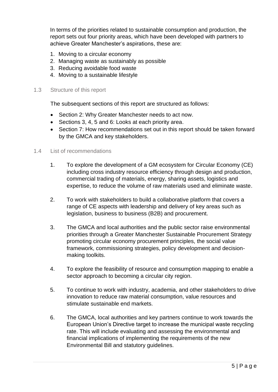In terms of the priorities related to sustainable consumption and production, the report sets out four priority areas, which have been developed with partners to achieve Greater Manchester's aspirations, these are:

- 1. Moving to a circular economy
- 2. Managing waste as sustainably as possible
- 3. Reducing avoidable food waste
- 4. Moving to a sustainable lifestyle

#### <span id="page-5-0"></span>1.3 Structure of this report

The subsequent sections of this report are structured as follows:

- Section 2: Why Greater Manchester needs to act now.
- Sections 3, 4, 5 and 6: Looks at each priority area.
- Section 7: How recommendations set out in this report should be taken forward by the GMCA and key stakeholders.

#### <span id="page-5-1"></span>1.4 List of recommendations

- 1. To explore the development of a GM ecosystem for Circular Economy (CE) including cross industry resource efficiency through design and production, commercial trading of materials, energy, sharing assets, logistics and expertise, to reduce the volume of raw materials used and eliminate waste.
- 2. To work with stakeholders to build a collaborative platform that covers a range of CE aspects with leadership and delivery of key areas such as legislation, business to business (B2B) and procurement.
- 3. The GMCA and local authorities and the public sector raise environmental priorities through a Greater Manchester Sustainable Procurement Strategy promoting circular economy procurement principles, the social value framework, commissioning strategies, policy development and decisionmaking toolkits.
- 4. To explore the feasibility of resource and consumption mapping to enable a sector approach to becoming a circular city region.
- 5. To continue to work with industry, academia, and other stakeholders to drive innovation to reduce raw material consumption, value resources and stimulate sustainable end markets.
- 6. The GMCA, local authorities and key partners continue to work towards the European Union's Directive target to increase the municipal waste recycling rate. This will include evaluating and assessing the environmental and financial implications of implementing the requirements of the new Environmental Bill and statutory guidelines.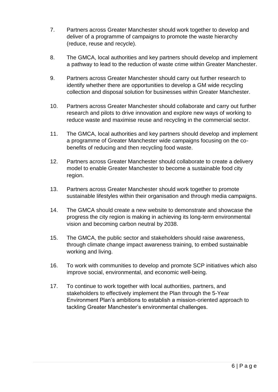- 7. Partners across Greater Manchester should work together to develop and deliver of a programme of campaigns to promote the waste hierarchy (reduce, reuse and recycle).
- 8. The GMCA, local authorities and key partners should develop and implement a pathway to lead to the reduction of waste crime within Greater Manchester.
- 9. Partners across Greater Manchester should carry out further research to identify whether there are opportunities to develop a GM wide recycling collection and disposal solution for businesses within Greater Manchester.
- 10. Partners across Greater Manchester should collaborate and carry out further research and pilots to drive innovation and explore new ways of working to reduce waste and maximise reuse and recycling in the commercial sector.
- 11. The GMCA, local authorities and key partners should develop and implement a programme of Greater Manchester wide campaigns focusing on the cobenefits of reducing and then recycling food waste.
- 12. Partners across Greater Manchester should collaborate to create a delivery model to enable Greater Manchester to become a sustainable food city region.
- 13. Partners across Greater Manchester should work together to promote sustainable lifestyles within their organisation and through media campaigns.
- 14. The GMCA should create a new website to demonstrate and showcase the progress the city region is making in achieving its long-term environmental vision and becoming carbon neutral by 2038.
- 15. The GMCA, the public sector and stakeholders should raise awareness, through climate change impact awareness training, to embed sustainable working and living.
- 16. To work with communities to develop and promote SCP initiatives which also improve social, environmental, and economic well-being.
- 17. To continue to work together with local authorities, partners, and stakeholders to effectively implement the Plan through the 5-Year Environment Plan's ambitions to establish a mission-oriented approach to tackling Greater Manchester's environmental challenges.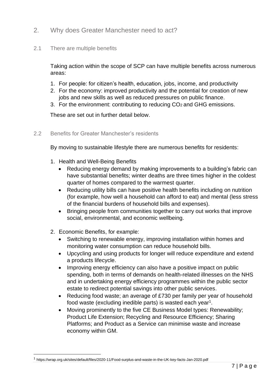- <span id="page-7-0"></span>2. Why does Greater Manchester need to act?
- <span id="page-7-1"></span>2.1 There are multiple benefits

Taking action within the scope of SCP can have multiple benefits across numerous areas:

- 1. For people: for citizen's health, education, jobs, income, and productivity
- 2. For the economy: improved productivity and the potential for creation of new jobs and new skills as well as reduced pressures on public finance.
- 3. For the environment: contributing to reducing CO<sub>2</sub> and GHG emissions.

These are set out in further detail below.

<span id="page-7-2"></span>2.2 Benefits for Greater Manchester's residents

By moving to sustainable lifestyle there are numerous benefits for residents:

- 1. Health and Well-Being Benefits
	- Reducing energy demand by making improvements to a building's fabric can have substantial benefits; winter deaths are three times higher in the coldest quarter of homes compared to the warmest quarter.
	- Reducing utility bills can have positive health benefits including on nutrition (for example, how well a household can afford to eat) and mental (less stress of the financial burdens of household bills and expenses).
	- Bringing people from communities together to carry out works that improve social, environmental, and economic wellbeing.
- 2. Economic Benefits, for example:
	- Switching to renewable energy, improving installation within homes and monitoring water consumption can reduce household bills.
	- Upcycling and using products for longer will reduce expenditure and extend a products lifecycle.
	- Improving energy efficiency can also have a positive impact on public spending, both in terms of demands on health-related illnesses on the NHS and in undertaking energy efficiency programmes within the public sector estate to redirect potential savings into other public services.
	- Reducing food waste; an average of £730 per family per year of household food waste (excluding inedible parts) is wasted each year<sup>1</sup>.
	- Moving prominently to the five CE Business Model types: Renewability; Product Life Extension; Recycling and Resource Efficiency; Sharing Platforms; and Product as a Service can minimise waste and increase economy within GM.

<sup>1</sup> https://wrap.org.uk/sites/default/files/2020-11/Food-surplus-and-waste-in-the-UK-key-facts-Jan-2020.pdf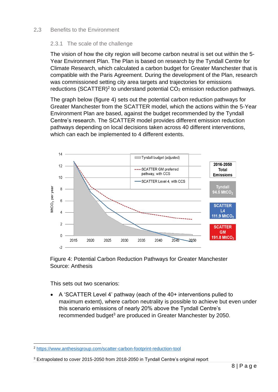#### <span id="page-8-0"></span>2**.**3 Benefits to the Environment

#### 2.3.1 The scale of the challenge

The vision of how the city region will become carbon neutral is set out within the 5- Year Environment Plan. The Plan is based on research by the Tyndall Centre for Climate Research, which calculated a carbon budget for Greater Manchester that is compatible with the Paris Agreement. During the development of the Plan, research was commissioned setting city area targets and trajectories for emissions reductions (SCATTER)<sup>2</sup> to understand potential  $CO<sub>2</sub>$  emission reduction pathways.

The graph below (figure 4) sets out the potential carbon reduction pathways for Greater Manchester from the SCATTER model, which the actions within the 5-Year Environment Plan are based, against the budget recommended by the Tyndall Centre's research. The SCATTER model provides different emission reduction pathways depending on local decisions taken across 40 different interventions, which can each be implemented to 4 different extents.





This sets out two scenarios:

• A 'SCATTER Level 4' pathway (each of the 40+ interventions pulled to maximum extent), where carbon neutrality is possible to achieve but even under this scenario emissions of nearly 20% above the Tyndall Centre's recommended budget<sup>3</sup> are produced in Greater Manchester by 2050.

<sup>2</sup> <https://www.anthesisgroup.com/scatter-carbon-footprint-reduction-tool>

<sup>3</sup> Extrapolated to cover 2015-2050 from 2018-2050 in Tyndall Centre's original report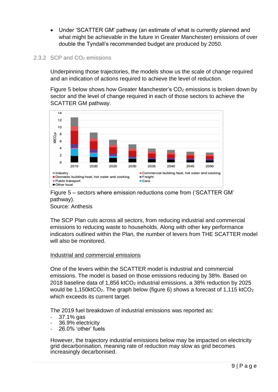• Under 'SCATTER GM' pathway (an estimate of what is currently planned and what might be achievable in the future in Greater Manchester) emissions of over double the Tyndall's recommended budget are produced by 2050.

#### 2.3.2 SCP and CO<sub>2</sub> emissions

Underpinning those trajectories, the models show us the scale of change required and an indication of actions required to achieve the level of reduction.

Figure 5 below shows how Greater Manchester's CO<sub>2</sub> emissions is broken down by sector and the level of change required in each of those sectors to achieve the SCATTER GM pathway.



Figure 5 – sectors where emission reductions come from ('SCATTER GM' pathway).

Source: Anthesis

The SCP Plan cuts across all sectors, from reducing industrial and commercial emissions to reducing waste to households. Along with other key performance indicators outlined within the Plan, the number of levers from THE SCATTER model will also be monitored.

#### Industrial and commercial emissions

One of the levers within the SCATTER model is industrial and commercial emissions. The model is based on those emissions reducing by 38%. Based on 2018 baseline data of 1,856 ktCO<sub>2</sub> industrial emissions, a 38% reduction by 2025 would be 1,150ktCO<sub>2</sub>. The graph below (figure 6) shows a forecast of 1,115 ktCO<sub>2</sub> which exceeds its current target.

The 2019 fuel breakdown of industrial emissions was reported as:

- 37.1% gas
- 36.9% electricity
- 26.0% 'other' fuels

However, the trajectory industrial emissions below may be impacted on electricity grid decarbonisation, meaning rate of reduction may slow as grid becomes increasingly decarbonised.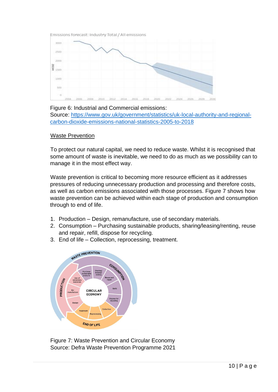Emissions forecast: Industry Total / All emissions



#### Figure 6: Industrial and Commercial emissions:

Source: [https://www.gov.uk/government/statistics/uk-local-authority-and-regional](https://www.gov.uk/government/statistics/uk-local-authority-and-regional-carbon-dioxide-emissions-national-statistics-2005-to-2018)[carbon-dioxide-emissions-national-statistics-2005-to-2018](https://www.gov.uk/government/statistics/uk-local-authority-and-regional-carbon-dioxide-emissions-national-statistics-2005-to-2018)

#### Waste Prevention

To protect our natural capital, we need to reduce waste. Whilst it is recognised that some amount of waste is inevitable, we need to do as much as we possibility can to manage it in the most effect way.

Waste prevention is critical to becoming more resource efficient as it addresses pressures of reducing unnecessary production and processing and therefore costs, as well as carbon emissions associated with those processes. Figure 7 shows how waste prevention can be achieved within each stage of production and consumption through to end of life.

- 1. Production Design, remanufacture, use of secondary materials.
- 2. Consumption Purchasing sustainable products, sharing/leasing/renting, reuse and repair, refill, dispose for recycling.
- 3. End of life Collection, reprocessing, treatment.



Figure 7: Waste Prevention and Circular Economy Source: Defra Waste Prevention Programme 2021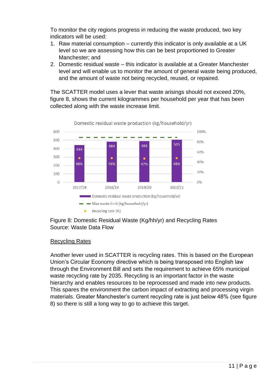To monitor the city regions progress in reducing the waste produced, two key indicators will be used:

- 1. Raw material consumption currently this indicator is only available at a UK level so we are assessing how this can be best proportioned to Greater Manchester; and
- 2. Domestic residual waste this indicator is available at a Greater Manchester level and will enable us to monitor the amount of general waste being produced, and the amount of waste not being recycled, reused, or repaired.

The SCATTER model uses a lever that waste arisings should not exceed 20%, figure 8, shows the current kilogrammes per household per year that has been collected along with the waste increase limit.



Figure 8: Domestic Residual Waste (Kg/hh/yr) and Recycling Rates Source: Waste Data Flow

#### Recycling Rates

Another lever used in SCATTER is recycling rates. This is based on the European Union's Circular Economy directive which is being transposed into English law through the Environment Bill and sets the requirement to achieve 65% municipal waste recycling rate by 2035. Recycling is an important factor in the waste hierarchy and enables resources to be reprocessed and made into new products. This spares the environment the carbon impact of extracting and processing virgin materials. Greater Manchester's current recycling rate is just below 48% (see figure 8) so there is still a long way to go to achieve this target.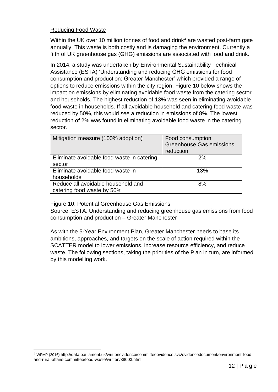#### Reducing Food Waste

Within the UK over 10 million tonnes of food and drink<sup>4</sup> are wasted post-farm gate annually. This waste is both costly and is damaging the environment. Currently a fifth of UK greenhouse gas (GHG) emissions are associated with food and drink.

In 2014, a study was undertaken by Environmental Sustainability Technical Assistance (ESTA) 'Understanding and reducing GHG emissions for food consumption and production: Greater Manchester' which provided a range of options to reduce emissions within the city region. Figure 10 below shows the impact on emissions by eliminating avoidable food waste from the catering sector and households. The highest reduction of 13% was seen in eliminating avoidable food waste in households. If all avoidable household and catering food waste was reduced by 50%, this would see a reduction in emissions of 8%. The lowest reduction of 2% was found in eliminating avoidable food waste in the catering sector.

| Mitigation measure (100% adoption)                               | Food consumption<br><b>Greenhouse Gas emissions</b><br>reduction |
|------------------------------------------------------------------|------------------------------------------------------------------|
| Eliminate avoidable food waste in catering<br>sector             | 2%                                                               |
| Eliminate avoidable food waste in<br>households                  | 13%                                                              |
| Reduce all avoidable household and<br>catering food waste by 50% | 8%                                                               |

Figure 10: Potential Greenhouse Gas Emissions

Source: ESTA: Understanding and reducing greenhouse gas emissions from food consumption and production – Greater Manchester

As with the 5-Year Environment Plan, Greater Manchester needs to base its ambitions, approaches, and targets on the scale of action required within the SCATTER model to lower emissions, increase resource efficiency, and reduce waste. The following sections, taking the priorities of the Plan in turn, are informed by this modelling work.

<sup>4</sup> WRAP (2016) http://data.parliament.uk/writtenevidence/committeeevidence.svc/evidencedocument/environment-foodand-rural-affairs-committee/food-waste/written/38003.html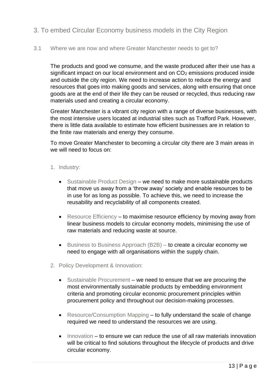# <span id="page-13-0"></span>3. To embed Circular Economy business models in the City Region

<span id="page-13-1"></span>3.1 Where we are now and where Greater Manchester needs to get to?

The products and good we consume, and the waste produced after their use has a significant impact on our local environment and on  $CO<sub>2</sub>$  emissions produced inside and outside the city region. We need to increase action to reduce the energy and resources that goes into making goods and services, along with ensuring that once goods are at the end of their life they can be reused or recycled, thus reducing raw materials used and creating a circular economy.

Greater Manchester is a vibrant city region with a range of diverse businesses, with the most intensive users located at industrial sites such as Trafford Park. However, there is little data available to estimate how efficient businesses are in relation to the finite raw materials and energy they consume.

To move Greater Manchester to becoming a circular city there are 3 main areas in we will need to focus on:

- 1. Industry:
	- Sustainable Product Design we need to make more sustainable products that move us away from a 'throw away' society and enable resources to be in use for as long as possible. To achieve this, we need to increase the reusability and recyclability of all components created.
	- Resource Efficiency to maximise resource efficiency by moving away from linear business models to circular economy models, minimising the use of raw materials and reducing waste at source.
	- Business to Business Approach (B2B) to create a circular economy we need to engage with all organisations within the supply chain.
- 2. Policy Development & Innovation:
	- Sustainable Procurement we need to ensure that we are procuring the most environmentally sustainable products by embedding environment criteria and promoting circular economic procurement principles within procurement policy and throughout our decision-making processes.
	- Resource/Consumption Mapping to fully understand the scale of change required we need to understand the resources we are using.
	- Innovation to ensure we can reduce the use of all raw materials innovation will be critical to find solutions throughout the lifecycle of products and drive circular economy.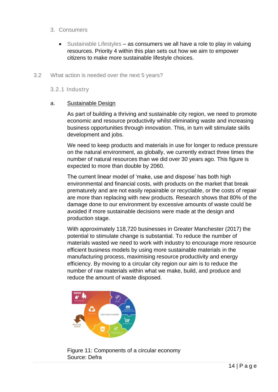#### 3. Consumers

• Sustainable Lifestyles – as consumers we all have a role to play in valuing resources. Priority 4 within this plan sets out how we aim to empower citizens to make more sustainable lifestyle choices.

#### <span id="page-14-0"></span>3.2 What action is needed over the next 5 years?

3.2.1 Industry

#### a. Sustainable Design

As part of building a thriving and sustainable city region, we need to promote economic and resource productivity whilst eliminating waste and increasing business opportunities through innovation. This, in turn will stimulate skills development and jobs.

We need to keep products and materials in use for longer to reduce pressure on the natural environment, as globally, we currently extract three times the number of natural resources than we did over 30 years ago. This figure is expected to more than double by 2060.

The current linear model of 'make, use and dispose' has both high environmental and financial costs, with products on the market that break prematurely and are not easily repairable or recyclable, or the costs of repair are more than replacing with new products. Research shows that 80% of the damage done to our environment by excessive amounts of waste could be avoided if more sustainable decisions were made at the design and production stage.

With approximately 118,720 businesses in Greater Manchester (2017) the potential to stimulate change is substantial. To reduce the number of materials wasted we need to work with industry to encourage more resource efficient business models by using more sustainable materials in the manufacturing process, maximising resource productivity and energy efficiency. By moving to a circular city region our aim is to reduce the number of raw materials within what we make, build, and produce and reduce the amount of waste disposed.



Figure 11: Components of a circular economy Source: Defra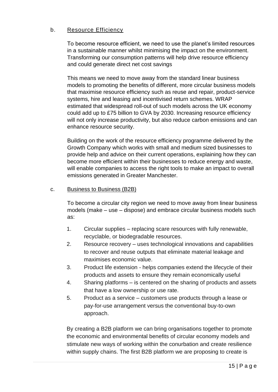#### b. Resource Efficiency

To become resource efficient, we need to use the planet's limited resources in a sustainable manner whilst minimising the impact on the environment. Transforming our consumption patterns will help drive resource efficiency and could generate direct net cost savings

This means we need to move away from the standard linear business models to promoting the benefits of different, more circular business models that maximise resource efficiency such as reuse and repair, product-service systems, hire and leasing and incentivised return schemes. WRAP estimated that widespread roll-out of such models across the UK economy could add up to £75 billion to GVA by 2030. Increasing resource efficiency will not only increase productivity, but also reduce carbon emissions and can enhance resource security.

Building on the work of the resource efficiency programme delivered by the Growth Company which works with small and medium sized businesses to provide help and advice on their current operations, explaining how they can become more efficient within their businesses to reduce energy and waste, will enable companies to access the right tools to make an impact to overall emissions generated in Greater Manchester.

#### c. Business to Business (B2B)

To become a circular city region we need to move away from linear business models (make – use – dispose) and embrace circular business models such as:

- 1. Circular supplies replacing scare resources with fully renewable, recyclable, or biodegradable resources.
- 2. Resource recovery uses technological innovations and capabilities to recover and reuse outputs that eliminate material leakage and maximises economic value.
- 3. Product life extension helps companies extend the lifecycle of their products and assets to ensure they remain economically useful
- 4. Sharing platforms is centered on the sharing of products and assets that have a low ownership or use rate.
- 5. Product as a service customers use products through a lease or pay-for-use arrangement versus the conventional buy-to-own approach.

By creating a B2B platform we can bring organisations together to promote the economic and environmental benefits of circular economy models and stimulate new ways of working within the conurbation and create resilience within supply chains. The first B2B platform we are proposing to create is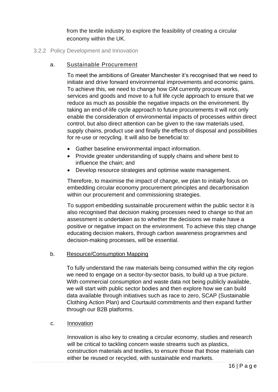from the textile industry to explore the feasibility of creating a circular economy within the UK.

#### 3.2.2 Policy Development and Innovation

#### a. Sustainable Procurement

To meet the ambitions of Greater Manchester it's recognised that we need to initiate and drive forward environmental improvements and economic gains. To achieve this, we need to change how GM currently procure works, services and goods and move to a full life cycle approach to ensure that we reduce as much as possible the negative impacts on the environment. By taking an end-of-life cycle approach to future procurements it will not only enable the consideration of environmental impacts of processes within direct control, but also direct attention can be given to the raw materials used, supply chains, product use and finally the effects of disposal and possibilities for re-use or recycling. It will also be beneficial to:

- Gather baseline environmental impact information.
- Provide greater understanding of supply chains and where best to influence the chain; and
- Develop resource strategies and optimise waste management.

Therefore, to maximise the impact of change, we plan to initially focus on embedding circular economy procurement principles and decarbonisation within our procurement and commissioning strategies.

To support embedding sustainable procurement within the public sector it is also recognised that decision making processes need to change so that an assessment is undertaken as to whether the decisions we make have a positive or negative impact on the environment. To achieve this step change educating decision makers, through carbon awareness programmes and decision-making processes, will be essential.

#### b. Resource/Consumption Mapping

To fully understand the raw materials being consumed within the city region we need to engage on a sector-by-sector basis, to build up a true picture. With commercial consumption and waste data not being publicly available, we will start with public sector bodies and then explore how we can build data available through initiatives such as race to zero, SCAP (Sustainable Clothing Action Plan) and Courtauld commitments and then expand further through our B2B platforms.

#### c. Innovation

Innovation is also key to creating a circular economy, studies and research will be critical to tackling concern waste streams such as plastics, construction materials and textiles, to ensure those that those materials can either be reused or recycled, with sustainable end markets.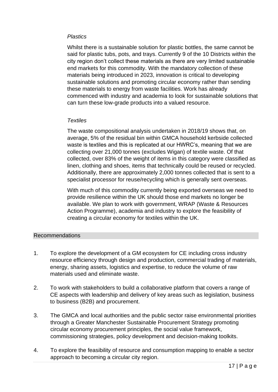#### *Plastics*

Whilst there is a sustainable solution for plastic bottles, the same cannot be said for plastic tubs, pots, and trays. Currently 9 of the 10 Districts within the city region don't collect these materials as there are very limited sustainable end markets for this commodity. With the mandatory collection of these materials being introduced in 2023, innovation is critical to developing sustainable solutions and promoting circular economy rather than sending these materials to energy from waste facilities. Work has already commenced with industry and academia to look for sustainable solutions that can turn these low-grade products into a valued resource.

#### *Textiles*

The waste compositional analysis undertaken in 2018/19 shows that, on average, 5% of the residual bin within GMCA household kerbside collected waste is textiles and this is replicated at our HWRC's, meaning that we are collecting over 21,000 tonnes (excludes Wigan) of textile waste. Of that collected, over 83% of the weight of items in this category were classified as linen, clothing and shoes, items that technically could be reused or recycled. Additionally, there are approximately 2,000 tonnes collected that is sent to a specialist processor for reuse/recycling which is generally sent overseas.

With much of this commodity currently being exported overseas we need to provide resilience within the UK should those end markets no longer be available. We plan to work with government, WRAP (Waste & Resources Action Programme), academia and industry to explore the feasibility of creating a circular economy for textiles within the UK.

#### Recommendations

- 1. To explore the development of a GM ecosystem for CE including cross industry resource efficiency through design and production, commercial trading of materials, energy, sharing assets, logistics and expertise, to reduce the volume of raw materials used and eliminate waste.
- 2. To work with stakeholders to build a collaborative platform that covers a range of CE aspects with leadership and delivery of key areas such as legislation, business to business (B2B) and procurement.
- 3. The GMCA and local authorities and the public sector raise environmental priorities through a Greater Manchester Sustainable Procurement Strategy promoting circular economy procurement principles, the social value framework, commissioning strategies, policy development and decision-making toolkits.
- 4. To explore the feasibility of resource and consumption mapping to enable a sector approach to becoming a circular city region.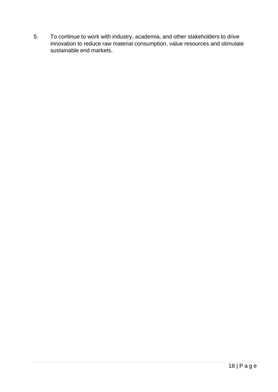5. To continue to work with industry, academia, and other stakeholders to drive innovation to reduce raw material consumption, value resources and stimulate sustainable end markets.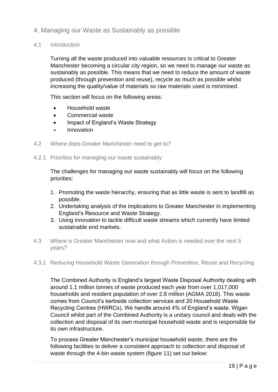### <span id="page-19-0"></span>4. Managing our Waste as Sustainably as possible

#### <span id="page-19-1"></span>4.1 Introduction

Turning all the waste produced into valuable resources is critical to Greater Manchester becoming a circular city region, so we need to manage our waste as sustainably as possible. This means that we need to reduce the amount of waste produced (through prevention and reuse), recycle as much as possible whilst increasing the quality/value of materials so raw materials used is minimised.

This section will focus on the following areas:

- Household waste
- Commercial waste
- Impact of England's Waste Strategy
- Innovation
- 4.2 Where does Greater Manchester need to get to?
- <span id="page-19-2"></span>4.2.1 Priorities for managing our waste sustainably

The challenges for managing our waste sustainably will focus on the following priorities:

- 1. Promoting the waste hierarchy, ensuring that as little waste is sent to landfill as possible.
- 2. Undertaking analysis of the implications to Greater Manchester in implementing England's Resource and Waste Strategy.
- 3. Using innovation to tackle difficult waste streams which currently have limited sustainable end markets.
- <span id="page-19-3"></span>4.3 Where is Greater Manchester now and what Action is needed over the next 5 years?
- 4.3.1 Reducing Household Waste Generation through Prevention, Reuse and Recycling

The Combined Authority is England's largest Waste Disposal Authority dealing with around 1.1 million tonnes of waste produced each year from over 1,017,000 households and resident population of over 2.8 million (AGMA 2018). This waste comes from Council's kerbside collection services and 20 Household Waste Recycling Centres (HWRCs). We handle around 4% of England's waste. Wigan Council whilst part of the Combined Authority is a unitary council and deals with the collection and disposal of its own municipal household waste and is responsible for its own infrastructure.

To process Greater Manchester's municipal household waste, there are the following facilities to deliver a consistent approach to collection and disposal of waste through the 4-bin waste system (figure 11) set out below: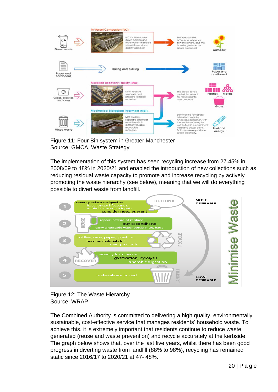

Figure 11: Four Bin system in Greater Manchester Source: GMCA, Waste Strategy

The implementation of this system has seen recycling increase from 27.45% in 2008/09 to 48% in 2020/21 and enabled the introduction of new collections such as reducing residual waste capacity to promote and increase recycling by actively promoting the waste hierarchy (see below), meaning that we will do everything possible to divert waste from landfill.





The Combined Authority is committed to delivering a high quality, environmentally sustainable, cost-effective service that manages residents' household waste. To achieve this, it is extremely important that residents continue to reduce waste generated (reuse and waste prevention) and recycle accurately at the kerbside. The graph below shows that, over the last five years, whilst there has been good progress in diverting waste from landfill (88% to 98%), recycling has remained static since 2016/17 to 2020/21 at 47- 48%.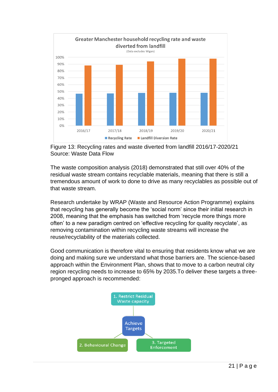

Figure 13: Recycling rates and waste diverted from landfill 2016/17-2020/21 Source: Waste Data Flow

The waste composition analysis (2018) demonstrated that still over 40% of the residual waste stream contains recyclable materials, meaning that there is still a tremendous amount of work to done to drive as many recyclables as possible out of that waste stream.

Research undertake by WRAP (Waste and Resource Action Programme) explains that recycling has generally become the 'social norm' since their initial research in 2008, meaning that the emphasis has switched from 'recycle more things more often' to a new paradigm centred on 'effective recycling for quality recyclate', as removing contamination within recycling waste streams will increase the reuse/recyclability of the materials collected.

Good communication is therefore vital to ensuring that residents know what we are doing and making sure we understand what those barriers are. The science-based approach within the Environment Plan, shows that to move to a carbon neutral city region recycling needs to increase to 65% by 2035.To deliver these targets a threepronged approach is recommended:

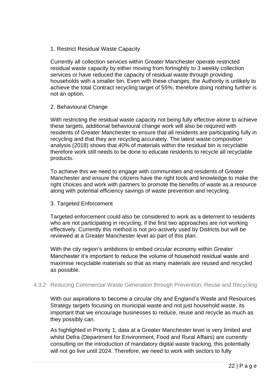1. Restrict Residual Waste Capacity

Currently all collection services within Greater Manchester operate restricted residual waste capacity by either moving from fortnightly to 3 weekly collection services or have reduced the capacity of residual waste through providing households with a smaller bin. Even with these changes, the Authority is unlikely to achieve the total Contract recycling target of 55%, therefore doing nothing further is not an option.

#### 2. Behavioural Change

With restricting the residual waste capacity not being fully effective alone to achieve these targets, additional behavioural change work will also be required with residents of Greater Manchester to ensure that all residents are participating fully in recycling and that they are recycling accurately. The latest waste composition analysis (2018) shows that 40% of materials within the residual bin is recyclable therefore work still needs to be done to educate residents to recycle all recyclable products.

To achieve this we need to engage with communities and residents of Greater Manchester and ensure the citizens have the right tools and knowledge to make the right choices and work with partners to promote the benefits of waste as a resource along with potential efficiency savings of waste prevention and recycling.

#### 3. Targeted Enforcement

Targeted enforcement could also be considered to work as a deterrent to residents who are not participating in recycling, if the first two approaches are not working effectively. Currently this method is not pro-actively used by Districts but will be reviewed at a Greater Manchester level as part of this plan.

With the city region's ambitions to embed circular economy within Greater Manchester it's important to reduce the volume of household residual waste and maximise recyclable materials so that as many materials are reused and recycled as possible.

#### 4.3.2 Reducing Commercial Waste Generation through Prevention, Reuse and Recycling

With our aspirations to become a circular city and England's Waste and Resources Strategy targets focusing on municipal waste and not just household waste, its important that we encourage businesses to reduce, reuse and recycle as much as they possibly can.

As highlighted in Priority 1, data at a Greater Manchester level is very limited and whilst Defra (Department for Environment, Food and Rural Affairs) are currently consulting on the introduction of mandatory digital waste tracking, this potentially will not go live until 2024. Therefore, we need to work with sectors to fully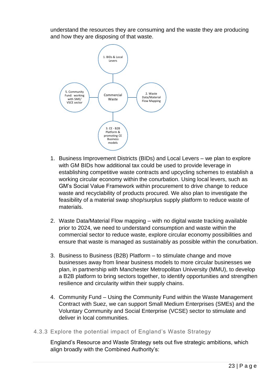understand the resources they are consuming and the waste they are producing and how they are disposing of that waste.



- 1. Business Improvement Districts (BIDs) and Local Levers we plan to explore with GM BIDs how additional tax could be used to provide leverage in establishing competitive waste contracts and upcycling schemes to establish a working circular economy within the conurbation. Using local levers, such as GM's Social Value Framework within procurement to drive change to reduce waste and recyclability of products procured. We also plan to investigate the feasibility of a material swap shop/surplus supply platform to reduce waste of materials.
- 2. Waste Data/Material Flow mapping with no digital waste tracking available prior to 2024, we need to understand consumption and waste within the commercial sector to reduce waste, explore circular economy possibilities and ensure that waste is managed as sustainably as possible within the conurbation.
- 3. Business to Business (B2B) Platform to stimulate change and move businesses away from linear business models to more circular businesses we plan, in partnership with Manchester Metropolitan University (MMU), to develop a B2B platform to bring sectors together, to identify opportunities and strengthen resilience and circularity within their supply chains.
- 4. Community Fund Using the Community Fund within the Waste Management Contract with Suez, we can support Small Medium Enterprises (SMEs) and the Voluntary Community and Social Enterprise (VCSE) sector to stimulate and deliver in local communities.

#### 4.3.3 Explore the potential impact of England's Waste Strategy

England's Resource and Waste Strategy sets out five strategic ambitions, which align broadly with the Combined Authority's: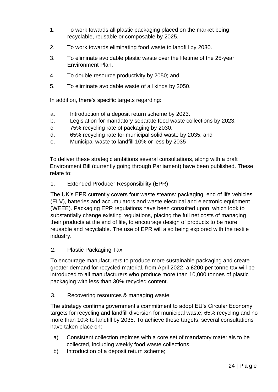- 1. To work towards all plastic packaging placed on the market being recyclable, reusable or composable by 2025.
- 2. To work towards eliminating food waste to landfill by 2030.
- 3. To eliminate avoidable plastic waste over the lifetime of the 25-year Environment Plan.
- 4. To double resource productivity by 2050; and
- 5. To eliminate avoidable waste of all kinds by 2050.

In addition, there's specific targets regarding:

- a. Introduction of a deposit return scheme by 2023.
- b. Legislation for mandatory separate food waste collections by 2023.
- c. 75% recycling rate of packaging by 2030.
- d. 65% recycling rate for municipal solid waste by 2035; and
- e. Municipal waste to landfill 10% or less by 2035

To deliver these strategic ambitions several consultations, along with a draft Environment Bill (currently going through Parliament) have been published. These relate to:

1. Extended Producer Responsibility (EPR)

The UK's EPR currently covers four waste steams: packaging, end of life vehicles (ELV), batteries and accumulators and waste electrical and electronic equipment (WEEE). Packaging EPR regulations have been consulted upon, which look to substantially change existing regulations, placing the full net costs of managing their products at the end of life, to encourage design of products to be more reusable and recyclable. The use of EPR will also being explored with the textile industry.

2. Plastic Packaging Tax

To encourage manufacturers to produce more sustainable packaging and create greater demand for recycled material, from April 2022, a £200 per tonne tax will be introduced to all manufacturers who produce more than 10,000 tonnes of plastic packaging with less than 30% recycled content.

3. Recovering resources & managing waste

The strategy confirms government's commitment to adopt EU's Circular Economy targets for recycling and landfill diversion for municipal waste; 65% recycling and no more than 10% to landfill by 2035. To achieve these targets, several consultations have taken place on:

- a) Consistent collection regimes with a core set of mandatory materials to be collected, including weekly food waste collections;
- b) Introduction of a deposit return scheme;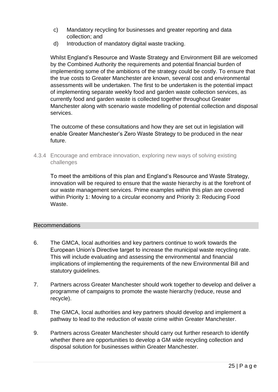- c) Mandatory recycling for businesses and greater reporting and data collection; and
- d) Introduction of mandatory digital waste tracking.

Whilst England's Resource and Waste Strategy and Environment Bill are welcomed by the Combined Authority the requirements and potential financial burden of implementing some of the ambitions of the strategy could be costly. To ensure that the true costs to Greater Manchester are known, several cost and environmental assessments will be undertaken. The first to be undertaken is the potential impact of implementing separate weekly food and garden waste collection services, as currently food and garden waste is collected together throughout Greater Manchester along with scenario waste modelling of potential collection and disposal services.

The outcome of these consultations and how they are set out in legislation will enable Greater Manchester's Zero Waste Strategy to be produced in the near future.

<span id="page-25-0"></span>4.3.4 Encourage and embrace innovation, exploring new ways of solving existing challenges

To meet the ambitions of this plan and England's Resource and Waste Strategy, innovation will be required to ensure that the waste hierarchy is at the forefront of our waste management services. Prime examples within this plan are covered within Priority 1: Moving to a circular economy and Priority 3: Reducing Food Waste.

#### Recommendations

- 6. The GMCA, local authorities and key partners continue to work towards the European Union's Directive target to increase the municipal waste recycling rate. This will include evaluating and assessing the environmental and financial implications of implementing the requirements of the new Environmental Bill and statutory guidelines.
- 7. Partners across Greater Manchester should work together to develop and deliver a programme of campaigns to promote the waste hierarchy (reduce, reuse and recycle).
- 8. The GMCA, local authorities and key partners should develop and implement a pathway to lead to the reduction of waste crime within Greater Manchester.
- 9. Partners across Greater Manchester should carry out further research to identify whether there are opportunities to develop a GM wide recycling collection and disposal solution for businesses within Greater Manchester.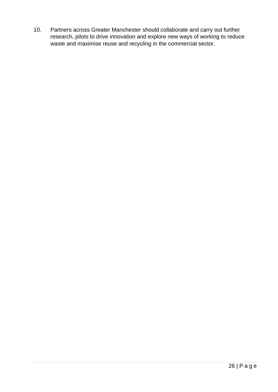10. Partners across Greater Manchester should collaborate and carry out further research, pilots to drive innovation and explore new ways of working to reduce waste and maximise reuse and recycling in the commercial sector.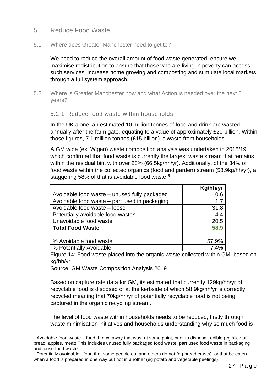#### <span id="page-27-0"></span>5. Reduce Food Waste

#### <span id="page-27-1"></span>5.1 Where does Greater Manchester need to get to?

We need to reduce the overall amount of food waste generated, ensure we maximise redistribution to ensure that those who are living in poverty can access such services, increase home growing and composting and stimulate local markets, through a full system approach.

<span id="page-27-2"></span>5.2 Where is Greater Manchester now and what Action is needed over the next 5 years?

#### 5.2.1 Reduce food waste within households

In the UK alone, an estimated 10 million tonnes of food and drink are wasted annually after the farm gate, equating to a value of approximately £20 billion. Within those figures, 7.1 million tonnes (£15 billion) is waste from households.

A GM wide (ex. Wigan) waste composition analysis was undertaken in 2018/19 which confirmed that food waste is currently the largest waste stream that remains within the residual bin, with over 28% (66.5kg/hh/yr). Additionally, of the 34% of food waste within the collected organics (food and garden) stream (58.9kg/hh/yr), a staggering 58% of that is avoidable food waste.<sup>5</sup>

|                                               | Kg/hh/yr |
|-----------------------------------------------|----------|
| Avoidable food waste – unused fully packaged  | 0.6      |
| Avoidable food waste – part used in packaging | 1.7      |
| Avoidable food waste - loose                  | 31.8     |
| Potentially avoidable food waste <sup>6</sup> | 4.4      |
| Unavoidable food waste                        | 20.5     |
| <b>Total Food Waste</b>                       | 58.9     |
|                                               |          |
| % Avoidable food waste                        | 57.9%    |
| % Potentially Avoidable                       | 7.4%     |

Figure 14: Food waste placed into the organic waste collected within GM, based on kg/hh/yr

Source: GM Waste Composition Analysis 2019

Based on capture rate data for GM, its estimated that currently 129kg/hh/yr of recyclable food is disposed of at the kerbside of which 58.9kg/hh/yr is correctly recycled meaning that 70kg/hh/yr of potentially recyclable food is not being captured in the organic recycling stream.

The level of food waste within households needs to be reduced, firstly through waste minimisation initiatives and households understanding why so much food is

<sup>5</sup> Avoidable food waste – food thrown away that was, at some point, prior to disposal, edible (eg slice of bread, apples, meat).This includes unused fully packaged food waste; part used food waste in packaging and loose food waste.

<sup>6</sup> Potentially avoidable - food that some people eat and others do not (eg bread crusts), or that be eaten when a food is prepared in one way but not in another (eg potato and vegetable peelings)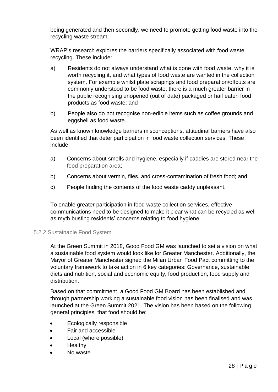being generated and then secondly, we need to promote getting food waste into the recycling waste stream.

WRAP's research explores the barriers specifically associated with food waste recycling. These include:

- a) Residents do not always understand what is done with food waste, why it is worth recycling it, and what types of food waste are wanted in the collection system. For example whilst plate scrapings and food preparation/offcuts are commonly understood to be food waste, there is a much greater barrier in the public recognising unopened (out of date) packaged or half eaten food products as food waste; and
- b) People also do not recognise non-edible items such as coffee grounds and eggshell as food waste.

As well as known knowledge barriers misconceptions, attitudinal barriers have also been identified that deter participation in food waste collection services. These include:

- a) Concerns about smells and hygiene, especially if caddies are stored near the food preparation area;
- b) Concerns about vermin, flies, and cross-contamination of fresh food; and
- c) People finding the contents of the food waste caddy unpleasant.

To enable greater participation in food waste collection services, effective communications need to be designed to make it clear what can be recycled as well as myth busting residents' concerns relating to food hygiene.

#### <span id="page-28-0"></span>5.2.2 Sustainable Food System

At the Green Summit in 2018, Good Food GM was launched to set a vision on what a sustainable food system would look like for Greater Manchester. Additionally, the Mayor of Greater Manchester signed the Milan Urban Food Pact committing to the voluntary framework to take action in 6 key categories: Governance, sustainable diets and nutrition, social and economic equity, food production, food supply and distribution.

Based on that commitment, a Good Food GM Board has been established and through partnership working a sustainable food vision has been finalised and was launched at the Green Summit 2021. The vision has been based on the following general principles, that food should be:

- Ecologically responsible
- Fair and accessible
- Local (where possible)
- **Healthy**
- No waste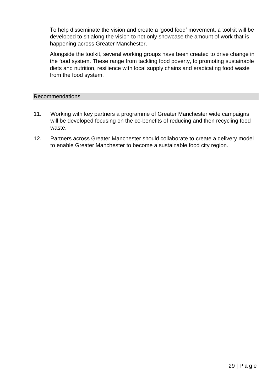To help disseminate the vision and create a 'good food' movement, a toolkit will be developed to sit along the vision to not only showcase the amount of work that is happening across Greater Manchester.

Alongside the toolkit, several working groups have been created to drive change in the food system. These range from tackling food poverty, to promoting sustainable diets and nutrition, resilience with local supply chains and eradicating food waste from the food system.

#### Recommendations

- 11. Working with key partners a programme of Greater Manchester wide campaigns will be developed focusing on the co-benefits of reducing and then recycling food waste.
- 12. Partners across Greater Manchester should collaborate to create a delivery model to enable Greater Manchester to become a sustainable food city region.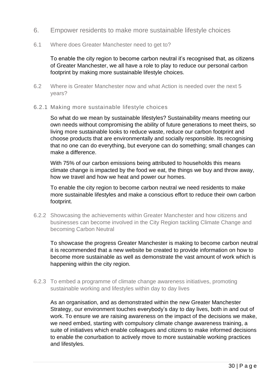- <span id="page-30-0"></span>6. Empower residents to make more sustainable lifestyle choices
- <span id="page-30-1"></span>6.1 Where does Greater Manchester need to get to?

To enable the city region to become carbon neutral it's recognised that, as citizens of Greater Manchester, we all have a role to play to reduce our personal carbon footprint by making more sustainable lifestyle choices.

- <span id="page-30-2"></span>6.2 Where is Greater Manchester now and what Action is needed over the next 5 years?
- 6.2.1 Making more sustainable lifestyle choices

So what do we mean by sustainable lifestyles? Sustainability means meeting our own needs without compromising the ability of future generations to meet theirs, so living more sustainable looks to reduce waste, reduce our carbon footprint and choose products that are environmentally and socially responsible. Its recognising that no one can do everything, but everyone can do something; small changes can make a difference.

With 75% of our carbon emissions being attributed to households this means climate change is impacted by the food we eat, the things we buy and throw away, how we travel and how we heat and power our homes.

To enable the city region to become carbon neutral we need residents to make more sustainable lifestyles and make a conscious effort to reduce their own carbon footprint.

<span id="page-30-3"></span>6.2.2 Showcasing the achievements within Greater Manchester and how citizens and businesses can become involved in the City Region tackling Climate Change and becoming Carbon Neutral

To showcase the progress Greater Manchester is making to become carbon neutral it is recommended that a new website be created to provide information on how to become more sustainable as well as demonstrate the vast amount of work which is happening within the city region.

6.2.3 To embed a programme of climate change awareness initiatives, promoting sustainable working and lifestyles within day to day lives

As an organisation, and as demonstrated within the new Greater Manchester Strategy, our environment touches everybody's day to day lives, both in and out of work. To ensure we are raising awareness on the impact of the decisions we make, we need embed, starting with compulsory climate change awareness training, a suite of initiatives which enable colleagues and citizens to make informed decisions to enable the conurbation to actively move to more sustainable working practices and lifestyles.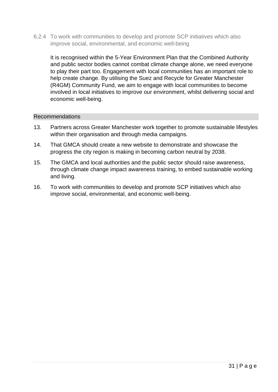6.2.4 To work with communities to develop and promote SCP initiatives which also improve social, environmental, and economic well-being

It is recognised within the 5-Year Environment Plan that the Combined Authority and public sector bodies cannot combat climate change alone, we need everyone to play their part too. Engagement with local communities has an important role to help create change. By utilising the Suez and Recycle for Greater Manchester (R4GM) Community Fund, we aim to engage with local communities to become involved in local initiatives to improve our environment, whilst delivering social and economic well-being.

#### Recommendations

- 13. Partners across Greater Manchester work together to promote sustainable lifestyles within their organisation and through media campaigns.
- 14. That GMCA should create a new website to demonstrate and showcase the progress the city region is making in becoming carbon neutral by 2038.
- 15. The GMCA and local authorities and the public sector should raise awareness, through climate change impact awareness training, to embed sustainable working and living.
- 16. To work with communities to develop and promote SCP initiatives which also improve social, environmental, and economic well-being.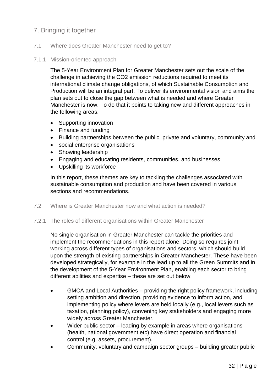# <span id="page-32-0"></span>7. Bringing it together

#### <span id="page-32-1"></span>7.1 Where does Greater Manchester need to get to?

#### 7.1.1 Mission-oriented approach

The 5-Year Environment Plan for Greater Manchester sets out the scale of the challenge in achieving the CO2 emission reductions required to meet its international climate change obligations, of which Sustainable Consumption and Production will be an integral part. To deliver its environmental vision and aims the plan sets out to close the gap between what is needed and where Greater Manchester is now. To do that it points to taking new and different approaches in the following areas:

- Supporting innovation
- Finance and funding
- Building partnerships between the public, private and voluntary, community and
- social enterprise organisations
- Showing leadership
- Engaging and educating residents, communities, and businesses
- Upskilling its workforce

In this report, these themes are key to tackling the challenges associated with sustainable consumption and production and have been covered in various sections and recommendations.

<span id="page-32-2"></span>7.2 Where is Greater Manchester now and what action is needed?

#### <span id="page-32-3"></span>7.2.1 The roles of different organisations within Greater Manchester

No single organisation in Greater Manchester can tackle the priorities and implement the recommendations in this report alone. Doing so requires joint working across different types of organisations and sectors, which should build upon the strength of existing partnerships in Greater Manchester. These have been developed strategically, for example in the lead up to all the Green Summits and in the development of the 5-Year Environment Plan, enabling each sector to bring different abilities and expertise – these are set out below:

- GMCA and Local Authorities providing the right policy framework, including setting ambition and direction, providing evidence to inform action, and implementing policy where levers are held locally (e.g., local levers such as taxation, planning policy), convening key stakeholders and engaging more widely across Greater Manchester.
- Wider public sector leading by example in areas where organisations (health, national government etc) have direct operation and financial control (e.g. assets, procurement).
- Community, voluntary and campaign sector groups building greater public